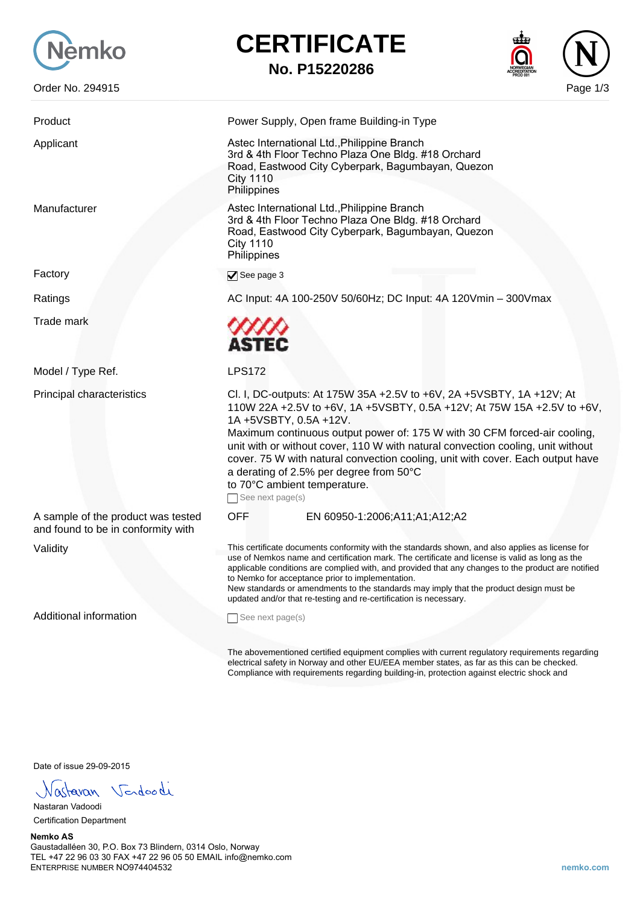

Order No. 294915 Page 1/3

## **CERTIFICATE No. P15220286**

| Product                                                                  | Power Supply, Open frame Building-in Type                                                                                                                                                                                                                                                                                                                                                                                                                                                                                  |
|--------------------------------------------------------------------------|----------------------------------------------------------------------------------------------------------------------------------------------------------------------------------------------------------------------------------------------------------------------------------------------------------------------------------------------------------------------------------------------------------------------------------------------------------------------------------------------------------------------------|
| Applicant                                                                | Astec International Ltd., Philippine Branch<br>3rd & 4th Floor Techno Plaza One Bldg. #18 Orchard<br>Road, Eastwood City Cyberpark, Bagumbayan, Quezon<br><b>City 1110</b><br>Philippines                                                                                                                                                                                                                                                                                                                                  |
| Manufacturer                                                             | Astec International Ltd., Philippine Branch<br>3rd & 4th Floor Techno Plaza One Bldg. #18 Orchard<br>Road, Eastwood City Cyberpark, Bagumbayan, Quezon<br><b>City 1110</b><br>Philippines                                                                                                                                                                                                                                                                                                                                  |
| Factory                                                                  | $\blacktriangledown$ See page 3                                                                                                                                                                                                                                                                                                                                                                                                                                                                                            |
| Ratings                                                                  | AC Input: 4A 100-250V 50/60Hz; DC Input: 4A 120Vmin - 300Vmax                                                                                                                                                                                                                                                                                                                                                                                                                                                              |
| Trade mark                                                               | ASTEC                                                                                                                                                                                                                                                                                                                                                                                                                                                                                                                      |
| Model / Type Ref.                                                        | <b>LPS172</b>                                                                                                                                                                                                                                                                                                                                                                                                                                                                                                              |
| Principal characteristics                                                | Cl. I, DC-outputs: At 175W 35A +2.5V to +6V, 2A +5VSBTY, 1A +12V; At<br>110W 22A +2.5V to +6V, 1A +5VSBTY, 0.5A +12V; At 75W 15A +2.5V to +6V,<br>1A +5VSBTY, 0.5A +12V.<br>Maximum continuous output power of: 175 W with 30 CFM forced-air cooling,<br>unit with or without cover, 110 W with natural convection cooling, unit without<br>cover. 75 W with natural convection cooling, unit with cover. Each output have<br>a derating of 2.5% per degree from 50°C<br>to 70°C ambient temperature.<br>See next page(s)  |
| A sample of the product was tested<br>and found to be in conformity with | <b>OFF</b><br>EN 60950-1:2006;A11;A1;A12;A2                                                                                                                                                                                                                                                                                                                                                                                                                                                                                |
| Validity                                                                 | This certificate documents conformity with the standards shown, and also applies as license for<br>use of Nemkos name and certification mark. The certificate and license is valid as long as the<br>applicable conditions are complied with, and provided that any changes to the product are notified<br>to Nemko for acceptance prior to implementation.<br>New standards or amendments to the standards may imply that the product design must be<br>updated and/or that re-testing and re-certification is necessary. |
| Additional information                                                   | See next page(s)                                                                                                                                                                                                                                                                                                                                                                                                                                                                                                           |
|                                                                          | The abovementioned certified equipment complies with current regulatory requirements regarding<br>electrical safety in Norway and other EU/EEA member states, as far as this can be checked.                                                                                                                                                                                                                                                                                                                               |

Date of issue 29-09-2015

Nastavan Vendoodi

Nastaran Vadoodi Certification Department

**Nemko AS** Gaustadalléen 30, P.O. Box 73 Blindern, 0314 Oslo, Norway TEL +47 22 96 03 30 FAX +47 22 96 05 50 EMAIL info@nemko.com ENTERPRISE NUMBER NO974404532 **nemko.com**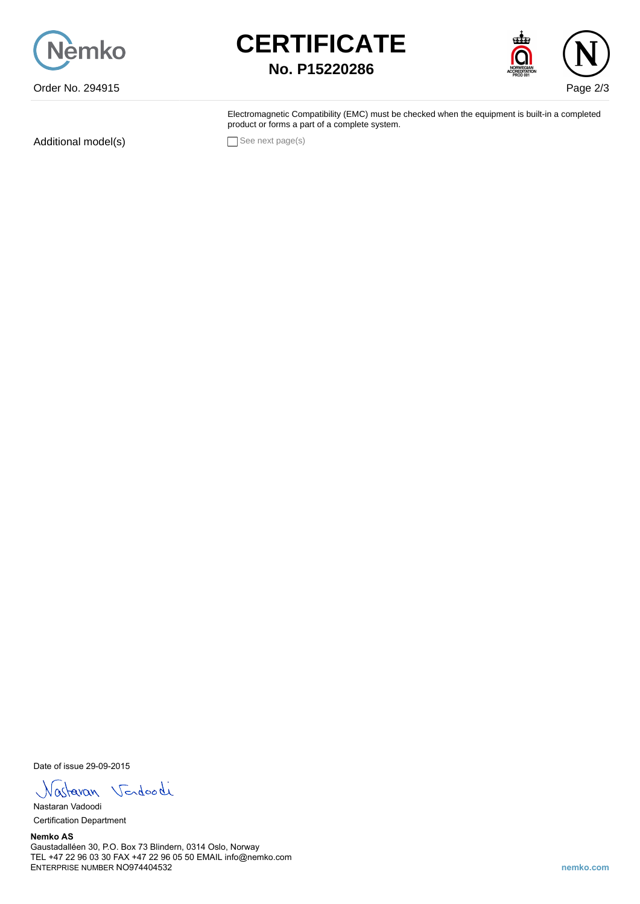

## **CERTIFICATE No. P15220286**



Electromagnetic Compatibility (EMC) must be checked when the equipment is built-in a completed product or forms a part of a complete system.

Additional model(s) See next page(s)

Date of issue 29-09-2015

Vastavan Vendoodi

Nastaran Vadoodi Certification Department

**Nemko AS** Gaustadalléen 30, P.O. Box 73 Blindern, 0314 Oslo, Norway TEL +47 22 96 03 30 FAX +47 22 96 05 50 EMAIL info@nemko.com ENTERPRISE NUMBER NO974404532 **nemko.com**